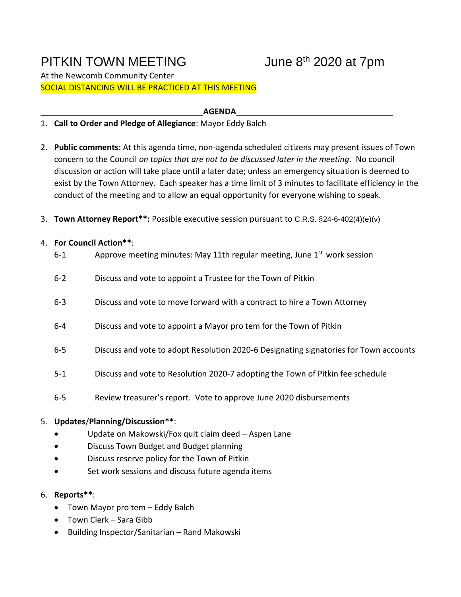# PITKIN TOWN MEETING

## June  $8<sup>th</sup>$  2020 at 7pm

At the Newcomb Community Center SOCIAL DISTANCING WILL BE PRACTICED AT THIS MEETING

**AGENDA**

- 1. **Call to Order and Pledge of Allegiance**: Mayor Eddy Balch
- 2. **Public comments:** At this agenda time, non-agenda scheduled citizens may present issues of Town concern to the Council *on topics that are not to be discussed later in the meeting*. No council discussion or action will take place until a later date; unless an emergency situation is deemed to exist by the Town Attorney. Each speaker has a time limit of 3 minutes to facilitate efficiency in the conduct of the meeting and to allow an equal opportunity for everyone wishing to speak.
- 3. **Town Attorney Report\*\*:** Possible executive session pursuant to C.R.S. §24-6-402(4)(e)(v)

#### 4. **For Council Action\*\***:

| $6 - 1$ | Approve meeting minutes: May 11th regular meeting, June 1 <sup>st</sup> work session  |
|---------|---------------------------------------------------------------------------------------|
| $6 - 2$ | Discuss and vote to appoint a Trustee for the Town of Pitkin                          |
| $6 - 3$ | Discuss and vote to move forward with a contract to hire a Town Attorney              |
| $6 - 4$ | Discuss and vote to appoint a Mayor pro tem for the Town of Pitkin                    |
| $6 - 5$ | Discuss and vote to adopt Resolution 2020-6 Designating signatories for Town accounts |
| $5 - 1$ | Discuss and vote to Resolution 2020-7 adopting the Town of Pitkin fee schedule        |
| $6 - 5$ | Review treasurer's report. Vote to approve June 2020 disbursements                    |

### 5. **Updates**/**Planning/Discussion\*\***:

- Update on Makowski/Fox quit claim deed Aspen Lane
- Discuss Town Budget and Budget planning
- Discuss reserve policy for the Town of Pitkin
- Set work sessions and discuss future agenda items

### 6. **Reports\*\***:

- Town Mayor pro tem Eddy Balch
- Town Clerk Sara Gibb
- Building Inspector/Sanitarian Rand Makowski